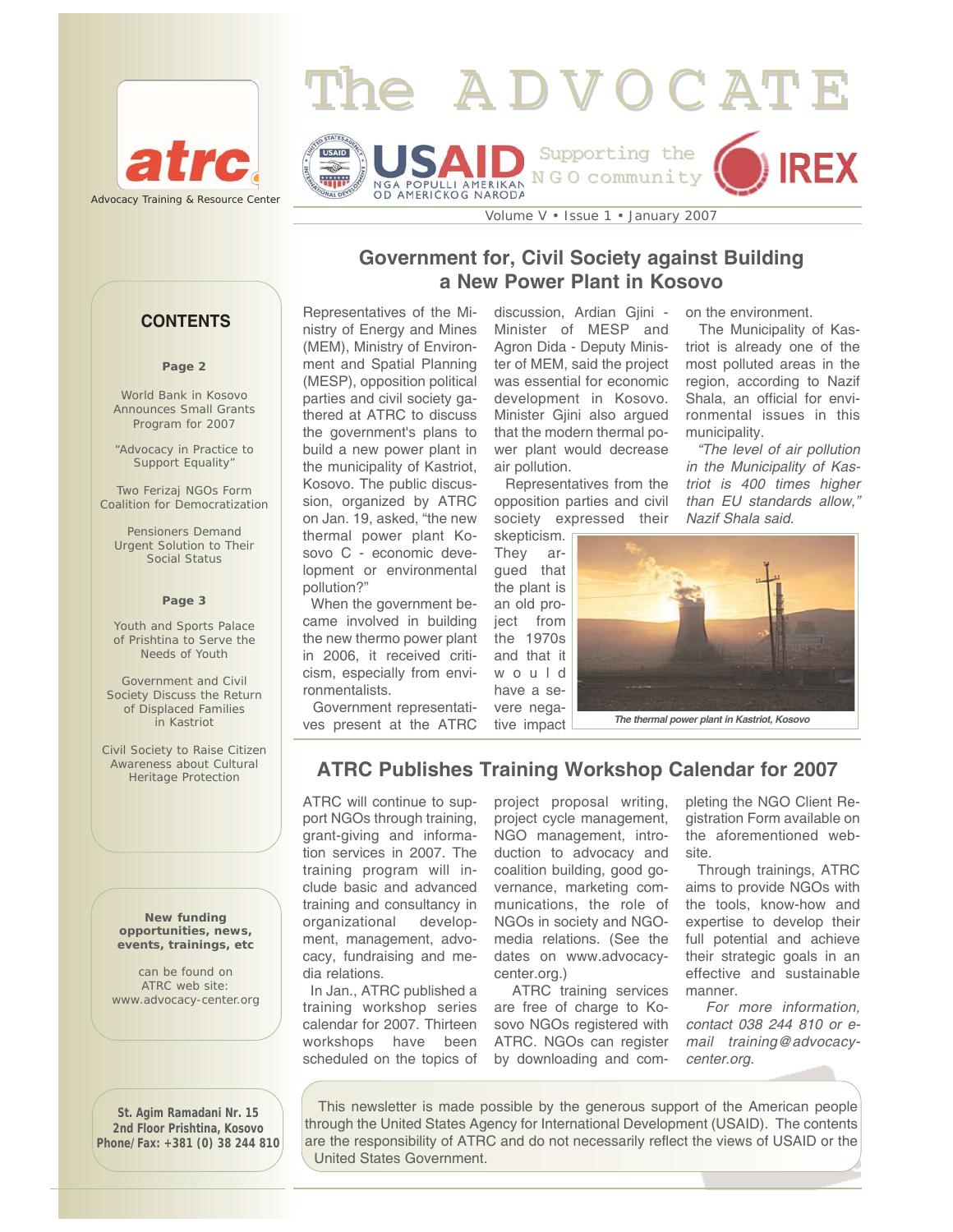



Volume V • Issue 1 • January 2007

# **Government for, Civil Society against Building a New Power Plant in Kosovo**

### Representatives of the Ministry of Energy and Mines (MEM), Ministry of Environment and Spatial Planning (MESP), opposition political parties and civil society gathered at ATRC to discuss the government's plans to build a new power plant in the municipality of Kastriot, Kosovo. The public discussion, organized by ATRC on Jan. 19, asked, "the new thermal power plant Kosovo C - economic development or environmental pollution?"

When the government became involved in building the new thermo power plant in 2006, it received criticism, especially from environmentalists.

Government representatives present at the ATRC

discussion. Ardian Giini -Minister of MESP and Agron Dida - Deputy Minister of MEM, said the project was essential for economic development in Kosovo. Minister Gjini also argued that the modern thermal power plant would decrease air pollution.

Representatives from the opposition parties and civil society expressed their skepticism.

They argued that the plant is an old project from the 1970s and that it would have a severe negative impact on the environment.

The Municipality of Kastriot is already one of the most polluted areas in the region, according to Nazif Shala, an official for environmental issues in this municipality.

*"The level of air pollution in the Municipality of Kastriot is 400 times higher than EU standards allow," Nazif Shala said.*



*The thermal power plant in Kastriot, Kosovo* 

# **ATRC Publishes Training Workshop Calendar for 2007**

ATRC will continue to support NGOs through training, grant-giving and information services in 2007. The training program will include basic and advanced training and consultancy in organizational development, management, advocacy, fundraising and media relations.

In Jan., ATRC published a training workshop series calendar for 2007. Thirteen workshops have been scheduled on the topics of

project proposal writing, project cycle management, NGO management, introduction to advocacy and coalition building, good governance, marketing communications, the role of NGOs in society and NGOmedia relations. (See the dates on www.advocacycenter.org.)

ATRC training services are free of charge to Kosovo NGOs registered with ATRC. NGOs can register by downloading and com-

pleting the NGO Client Registration Form available on the aforementioned website.

Through trainings, ATRC aims to provide NGOs with the tools, know-how and expertise to develop their full potential and achieve their strategic goals in an effective and sustainable manner.

*For more information, contact 038 244 810 or email training@advocacycenter.org.* 

**St. Agim Ramadani Nr. 15 2nd Floor Prishtina, Kosovo Phone/Fax: +381 (0) 38 244 810**

This newsletter is made possible by the generous support of the American people through the United States Agency for International Development (USAID). The contents are the responsibility of ATRC and do not necessarily reflect the views of USAID or the United States Government.

**CONTENTS**

#### **Page 2**

World Bank in Kosovo Announces Small Grants Program for 2007

"Advocacy in Practice to Support Equality"

Two Ferizaj NGOs Form Coalition for Democratization

Pensioners Demand Urgent Solution to Their Social Status

#### **Page 3**

Youth and Sports Palace of Prishtina to Serve the Needs of Youth

Government and Civil Society Discuss the Return of Displaced Families in Kastriot

Civil Society to Raise Citizen Awareness about Cultural Heritage Protection

**New funding opportunities, news, events, trainings, etc** 

can be found on ATRC web site: www.advocacy-center.org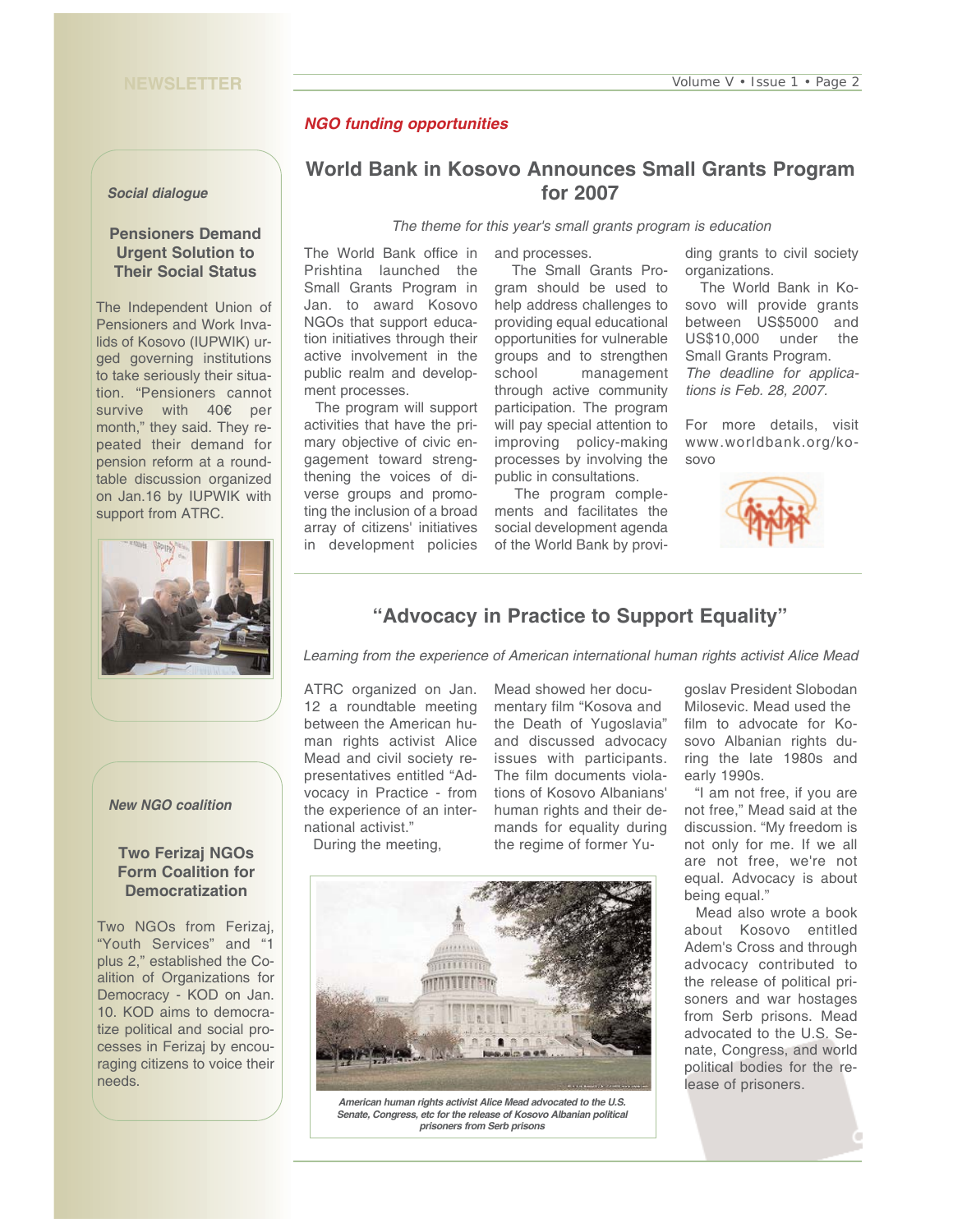## *NGO funding opportunities*

#### *Social dialogue*

## **Pensioners Demand Urgent Solution to Their Social Status**

The Independent Union of Pensioners and Work Invalids of Kosovo (IUPWIK) urged governing institutions to take seriously their situation. "Pensioners cannot survive with 40€ per month," they said. They repeated their demand for pension reform at a roundtable discussion organized on Jan.16 by IUPWIK with support from ATRC.



## **World Bank in Kosovo Announces Small Grants Program for 2007**

*The theme for this year's small grants program is education*

The World Bank office in Prishtina launched the Small Grants Program in Jan. to award Kosovo NGOs that support education initiatives through their active involvement in the public realm and development processes.

The program will support activities that have the primary objective of civic engagement toward strengthening the voices of diverse groups and promoting the inclusion of a broad array of citizens' initiatives in development policies

and processes.

The Small Grants Program should be used to help address challenges to providing equal educational opportunities for vulnerable groups and to strengthen school management through active community participation. The program will pay special attention to improving policy-making processes by involving the public in consultations.

The program complements and facilitates the social development agenda of the World Bank by provi-

ding grants to civil society organizations.

The World Bank in Kosovo will provide grants between US\$5000 and US\$10,000 under the Small Grants Program. *The deadline for applications is Feb. 28, 2007.* 

For more details, visit www.worldbank.org/kosovo





## **"Advocacy in Practice to Support Equality"**

*Learning from the experience of American international human rights activist Alice Mead*

ATRC organized on Jan. 12 a roundtable meeting between the American human rights activist Alice Mead and civil society representatives entitled "Advocacy in Practice - from the experience of an international activist."

> *American human rights activist Alice Mead advocated to the U.S. Senate, Congress, etc for the release of Kosovo Albanian political prisoners from Serb prisons*

 $11111111$  $1111111$ 

Mead showed her documentary film "Kosova and mands for equality during the regime of former Yu-

early 1990s.

During the meeting,

the Death of Yugoslavia" and discussed advocacy issues with participants. The film documents violations of Kosovo Albanians' human rights and their de-

goslav President Slobodan Milosevic. Mead used the film to advocate for Kosovo Albanian rights during the late 1980s and

"I am not free, if you are not free," Mead said at the discussion. "My freedom is not only for me. If we all are not free, we're not equal. Advocacy is about being equal."

Mead also wrote a book about Kosovo entitled Adem's Cross and through advocacy contributed to the release of political prisoners and war hostages from Serb prisons. Mead advocated to the U.S. Senate, Congress, and world political bodies for the release of prisoners.

## *New NGO coalition*

### **Two Ferizaj NGOs Form Coalition for Democratization**

Two NGOs from Ferizaj, "Youth Services" and "1 plus 2," established the Coalition of Organizations for Democracy - KOD on Jan. 10. KOD aims to democratize political and social processes in Ferizaj by encouraging citizens to voice their needs.